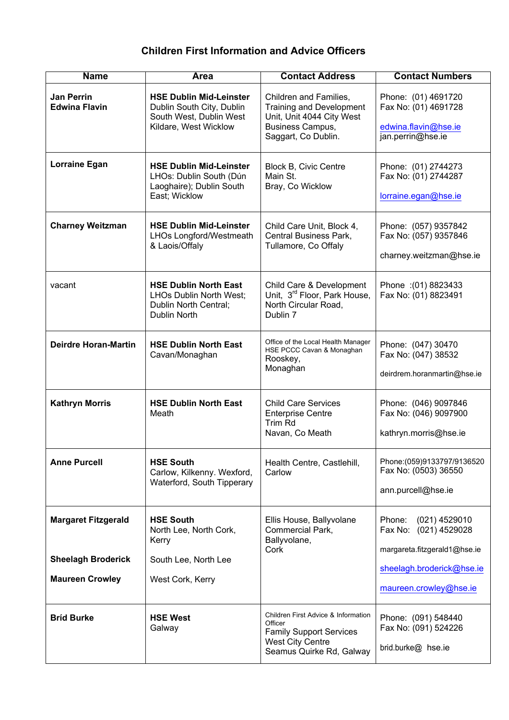## **Children First Information and Advice Officers**

| <b>Name</b>                                         | Area                                                                                                            | <b>Contact Address</b>                                                                                                                  | <b>Contact Numbers</b>                                                                   |
|-----------------------------------------------------|-----------------------------------------------------------------------------------------------------------------|-----------------------------------------------------------------------------------------------------------------------------------------|------------------------------------------------------------------------------------------|
| <b>Jan Perrin</b><br><b>Edwina Flavin</b>           | <b>HSE Dublin Mid-Leinster</b><br>Dublin South City, Dublin<br>South West, Dublin West<br>Kildare, West Wicklow | Children and Families,<br><b>Training and Development</b><br>Unit, Unit 4044 City West<br>Business Campus,<br>Saggart, Co Dublin.       | Phone: (01) 4691720<br>Fax No: (01) 4691728<br>edwina.flavin@hse.ie<br>jan.perrin@hse.ie |
| Lorraine Egan                                       | <b>HSE Dublin Mid-Leinster</b><br>LHOs: Dublin South (Dún<br>Laoghaire); Dublin South<br>East; Wicklow          | <b>Block B, Civic Centre</b><br>Main St.<br>Bray, Co Wicklow                                                                            | Phone: (01) 2744273<br>Fax No: (01) 2744287<br>lorraine.egan@hse.ie                      |
| <b>Charney Weitzman</b>                             | <b>HSE Dublin Mid-Leinster</b><br>LHOs Longford/Westmeath<br>& Laois/Offaly                                     | Child Care Unit, Block 4,<br>Central Business Park,<br>Tullamore, Co Offaly                                                             | Phone: (057) 9357842<br>Fax No: (057) 9357846<br>charney.weitzman@hse.ie                 |
| vacant                                              | <b>HSE Dublin North East</b><br>LHOs Dublin North West;<br>Dublin North Central;<br>Dublin North                | Child Care & Development<br>Unit, 3 <sup>rd</sup> Floor, Park House,<br>North Circular Road,<br>Dublin 7                                | Phone : (01) 8823433<br>Fax No: (01) 8823491                                             |
| <b>Deirdre Horan-Martin</b>                         | <b>HSE Dublin North East</b><br>Cavan/Monaghan                                                                  | Office of the Local Health Manager<br>HSE PCCC Cavan & Monaghan<br>Rooskey,<br>Monaghan                                                 | Phone: (047) 30470<br>Fax No: (047) 38532<br>deirdrem.horanmartin@hse.ie                 |
| <b>Kathryn Morris</b>                               | <b>HSE Dublin North East</b><br>Meath                                                                           | <b>Child Care Services</b><br><b>Enterprise Centre</b><br>Trim Rd<br>Navan, Co Meath                                                    | Phone: (046) 9097846<br>Fax No: (046) 9097900<br>kathryn.morris@hse.ie                   |
| <b>Anne Purcell</b>                                 | <b>HSE South</b><br>Carlow, Kilkenny. Wexford,<br>Waterford, South Tipperary                                    | Health Centre, Castlehill,<br>Carlow                                                                                                    | Phone: (059)9133797/9136520<br>Fax No: (0503) 36550<br>ann.purcell@hse.ie                |
| <b>Margaret Fitzgerald</b>                          | <b>HSE South</b><br>North Lee, North Cork,<br>Kerry                                                             | Ellis House, Ballyvolane<br>Commercial Park,<br>Ballyvolane,<br>Cork                                                                    | Phone:<br>$(021)$ 4529010<br>Fax No: (021) 4529028<br>margareta.fitzgerald1@hse.ie       |
| <b>Sheelagh Broderick</b><br><b>Maureen Crowley</b> | South Lee, North Lee<br>West Cork, Kerry                                                                        |                                                                                                                                         | sheelagh.broderick@hse.ie<br>maureen.crowley@hse.ie                                      |
| <b>Brid Burke</b>                                   | <b>HSE West</b><br>Galway                                                                                       | Children First Advice & Information<br>Officer<br><b>Family Support Services</b><br><b>West City Centre</b><br>Seamus Quirke Rd, Galway | Phone: (091) 548440<br>Fax No: (091) 524226<br>brid.burke@ hse.ie                        |